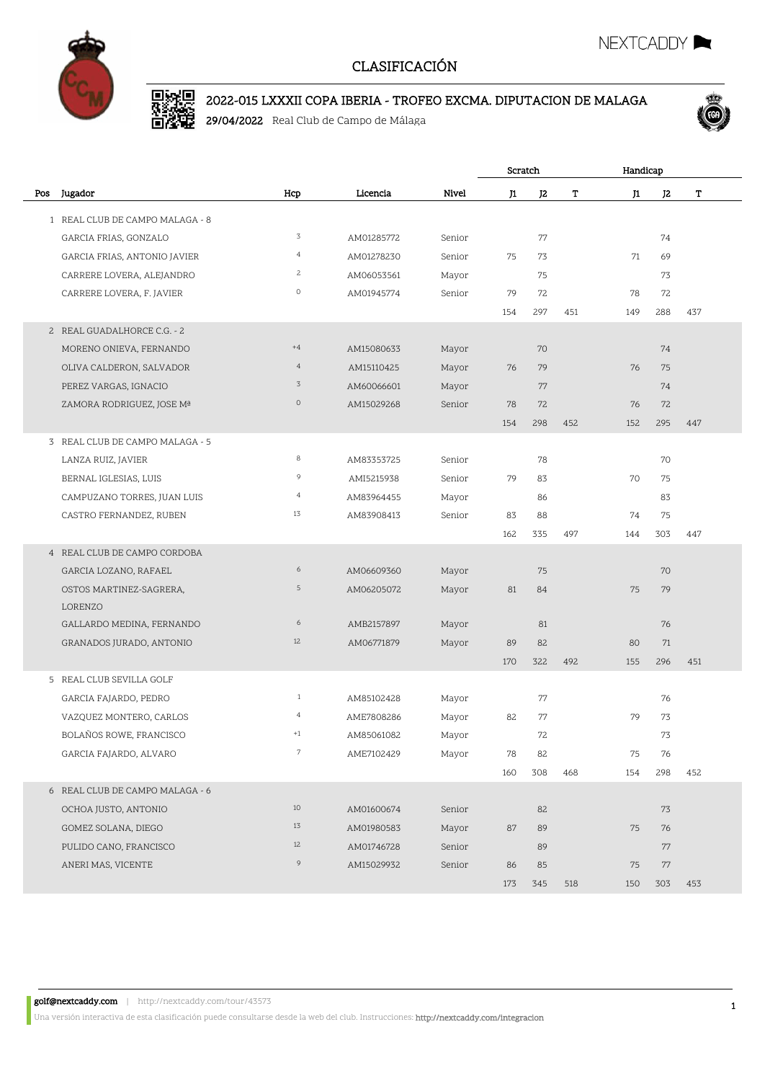

# D. 2002 2022-015 LXXXII COPA IBERIA - TROFEO EXCMA. DIPUTACION DE MALAGA

29/04/2022 Real Club de Campo de Málaga



NEXTCADDY

|     |                                 |                |            |        | Scratch |                | Handicap |     |                |     |
|-----|---------------------------------|----------------|------------|--------|---------|----------------|----------|-----|----------------|-----|
| Pos | Jugador                         | Hcp            | Licencia   | Nivel  | J1      | J <sub>2</sub> | т        | J1  | J <sub>2</sub> | T   |
|     | 1 REAL CLUB DE CAMPO MALAGA - 8 |                |            |        |         |                |          |     |                |     |
|     | GARCIA FRIAS, GONZALO           | 3              | AM01285772 | Senior |         | 77             |          |     | 74             |     |
|     | GARCIA FRIAS, ANTONIO JAVIER    | $\overline{4}$ | AM01278230 | Senior | 75      | 73             |          | 71  | 69             |     |
|     | CARRERE LOVERA, ALEJANDRO       | $\overline{c}$ | AM06053561 | Mayor  |         | 75             |          |     | 73             |     |
|     | CARRERE LOVERA, F. JAVIER       | $\circ$        | AM01945774 | Senior | 79      | 72             |          | 78  | 72             |     |
|     |                                 |                |            |        | 154     | 297            | 451      | 149 | 288            | 437 |
|     | 2 REAL GUADALHORCE C.G. - 2     |                |            |        |         |                |          |     |                |     |
|     | MORENO ONIEVA, FERNANDO         | $+4$           | AM15080633 | Mayor  |         | 70             |          |     | 74             |     |
|     | OLIVA CALDERON, SALVADOR        | $\overline{4}$ | AM15110425 | Mayor  | 76      | 79             |          | 76  | 75             |     |
|     | PEREZ VARGAS, IGNACIO           | 3              | AM60066601 | Mayor  |         | 77             |          |     | 74             |     |
|     | ZAMORA RODRIGUEZ, JOSE Mª       | $\circ$        | AM15029268 | Senior | 78      | 72             |          | 76  | 72             |     |
|     |                                 |                |            |        | 154     | 298            | 452      | 152 | 295            | 447 |
|     | 3 REAL CLUB DE CAMPO MALAGA - 5 |                |            |        |         |                |          |     |                |     |
|     | LANZA RUIZ, JAVIER              | 8              | AM83353725 | Senior |         | 78             |          |     | 70             |     |
|     | BERNAL IGLESIAS, LUIS           | 9              | AMI5215938 | Senior | 79      | 83             |          | 70  | 75             |     |
|     | CAMPUZANO TORRES, JUAN LUIS     | $\overline{4}$ | AM83964455 | Mayor  |         | 86             |          |     | 83             |     |
|     | CASTRO FERNANDEZ, RUBEN         | 13             | AM83908413 | Senior | 83      | 88             |          | 74  | 75             |     |
|     |                                 |                |            |        | 162     | 335            | 497      | 144 | 303            | 447 |
|     | 4 REAL CLUB DE CAMPO CORDOBA    |                |            |        |         |                |          |     |                |     |
|     | GARCIA LOZANO, RAFAEL           | 6              | AM06609360 | Mayor  |         | 75             |          |     | 70             |     |
|     | OSTOS MARTINEZ-SAGRERA,         | 5              | AM06205072 | Mayor  | 81      | 84             |          | 75  | 79             |     |
|     | LORENZO                         |                |            |        |         |                |          |     |                |     |
|     | GALLARDO MEDINA, FERNANDO       | 6              | AMB2157897 | Mayor  |         | 81             |          |     | 76             |     |
|     | GRANADOS JURADO, ANTONIO        | 12             | AM06771879 | Mayor  | 89      | 82             |          | 80  | 71             |     |
|     |                                 |                |            |        | 170     | 322            | 492      | 155 | 296            | 451 |
|     | 5 REAL CLUB SEVILLA GOLF        |                |            |        |         |                |          |     |                |     |
|     | GARCIA FAJARDO, PEDRO           | $\mathbf{1}$   | AM85102428 | Mayor  |         | 77             |          |     | 76             |     |
|     | VAZQUEZ MONTERO, CARLOS         | $\overline{4}$ | AME7808286 | Mayor  | 82      | 77             |          | 79  | 73             |     |
|     | BOLAÑOS ROWE, FRANCISCO         | $+1$           | AM85061082 | Mayor  |         | 72             |          |     | 73             |     |
|     | GARCIA FAJARDO, ALVARO          | $\,7$          | AME7102429 | Mayor  | 78      | 82             |          | 75  | 76             |     |
|     |                                 |                |            |        | 160     | 308            | 468      | 154 | 298            | 452 |
|     | 6 REAL CLUB DE CAMPO MALAGA - 6 |                |            |        |         |                |          |     |                |     |
|     | OCHOA JUSTO, ANTONIO            | $10\,$         | AM01600674 | Senior |         | 82             |          |     | 73             |     |
|     | GOMEZ SOLANA, DIEGO             | 13             | AM01980583 | Mayor  | 87      | 89             |          | 75  | 76             |     |
|     | PULIDO CANO, FRANCISCO          | 12             | AM01746728 | Senior |         | 89             |          |     | 77             |     |
|     | ANERI MAS, VICENTE              | 9              | AM15029932 | Senior | 86      | 85             |          | 75  | 77             |     |
|     |                                 |                |            |        | 173     | 345            | 518      | 150 | 303            | 453 |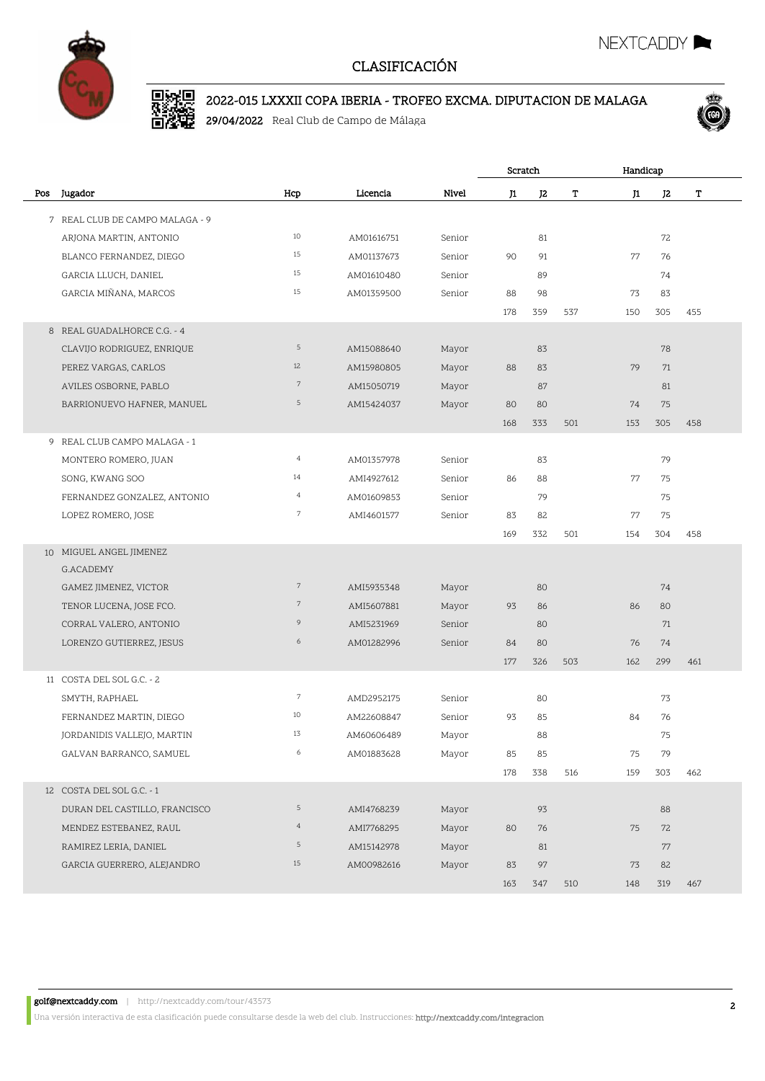

# D. 2002 2022-015 LXXXII COPA IBERIA - TROFEO EXCMA. DIPUTACION DE MALAGA

29/04/2022 Real Club de Campo de Málaga



NEXTCADDY

|     |                                 |                |            |        | Scratch |                | Handicap |     |     |     |
|-----|---------------------------------|----------------|------------|--------|---------|----------------|----------|-----|-----|-----|
| Pos | Jugador                         | Hcp            | Licencia   | Nivel  | J1      | J <sub>2</sub> | т        | J1  | J2  | T   |
|     | 7 REAL CLUB DE CAMPO MALAGA - 9 |                |            |        |         |                |          |     |     |     |
|     | ARJONA MARTIN, ANTONIO          | 10             | AM01616751 | Senior |         | 81             |          |     | 72  |     |
|     | BLANCO FERNANDEZ, DIEGO         | 15             | AM01137673 | Senior | 90      | 91             |          | 77  | 76  |     |
|     | GARCIA LLUCH, DANIEL            | 15             | AM01610480 | Senior |         | 89             |          |     | 74  |     |
|     | GARCIA MIÑANA, MARCOS           | 15             | AM01359500 | Senior | 88      | 98             |          | 73  | 83  |     |
|     |                                 |                |            |        | 178     | 359            | 537      | 150 | 305 | 455 |
|     | 8 REAL GUADALHORCE C.G. - 4     |                |            |        |         |                |          |     |     |     |
|     | CLAVIJO RODRIGUEZ, ENRIQUE      | 5              | AM15088640 | Mayor  |         | 83             |          |     | 78  |     |
|     | PEREZ VARGAS, CARLOS            | 12             | AM15980805 | Mayor  | 88      | 83             |          | 79  | 71  |     |
|     | AVILES OSBORNE, PABLO           | $\overline{7}$ | AM15050719 | Mayor  |         | 87             |          |     | 81  |     |
|     | BARRIONUEVO HAFNER, MANUEL      | 5              | AM15424037 | Mayor  | 80      | 80             |          | 74  | 75  |     |
|     |                                 |                |            |        | 168     | 333            | 501      | 153 | 305 | 458 |
| 9   | REAL CLUB CAMPO MALAGA - 1      |                |            |        |         |                |          |     |     |     |
|     | MONTERO ROMERO, JUAN            | $\overline{4}$ | AM01357978 | Senior |         | 83             |          |     | 79  |     |
|     | SONG, KWANG SOO                 | 14             | AMI4927612 | Senior | 86      | 88             |          | 77  | 75  |     |
|     | FERNANDEZ GONZALEZ, ANTONIO     | $\overline{4}$ | AM01609853 | Senior |         | 79             |          |     | 75  |     |
|     | LOPEZ ROMERO, JOSE              | $\overline{7}$ | AMI4601577 | Senior | 83      | 82             |          | 77  | 75  |     |
|     |                                 |                |            |        | 169     | 332            | 501      | 154 | 304 | 458 |
|     | 10 MIGUEL ANGEL JIMENEZ         |                |            |        |         |                |          |     |     |     |
|     | G.ACADEMY                       |                |            |        |         |                |          |     |     |     |
|     | GAMEZ JIMENEZ, VICTOR           | $7\phantom{.}$ | AMI5935348 | Mayor  |         | 80             |          |     | 74  |     |
|     | TENOR LUCENA, JOSE FCO.         | $\overline{7}$ | AMI5607881 | Mayor  | 93      | 86             |          | 86  | 80  |     |
|     | CORRAL VALERO, ANTONIO          | 9              | AMI5231969 | Senior |         | 80             |          |     | 71  |     |
|     | LORENZO GUTIERREZ, JESUS        | 6              | AM01282996 | Senior | 84      | 80             |          | 76  | 74  |     |
|     |                                 |                |            |        | 177     | 326            | 503      | 162 | 299 | 461 |
|     | 11 COSTA DEL SOL G.C. - 2       |                |            |        |         |                |          |     |     |     |
|     | SMYTH, RAPHAEL                  | $\overline{7}$ | AMD2952175 | Senior |         | 80             |          |     | 73  |     |
|     | FERNANDEZ MARTIN, DIEGO         | 10             | AM22608847 | Senior | 93      | 85             |          | 84  | 76  |     |
|     | JORDANIDIS VALLEJO, MARTIN      | 13             | AM60606489 | Mayor  |         | 88             |          |     | 75  |     |
|     | GALVAN BARRANCO, SAMUEL         | 6              | AM01883628 | Mayor  | 85      | 85             |          | 75  | 79  |     |
|     |                                 |                |            |        | 178     | 338            | 516      | 159 | 303 | 462 |
|     | 12 COSTA DEL SOL G.C. - 1       |                |            |        |         |                |          |     |     |     |
|     | DURAN DEL CASTILLO, FRANCISCO   | 5              | AMI4768239 | Mayor  |         | 93             |          |     | 88  |     |
|     | MENDEZ ESTEBANEZ, RAUL          | $\overline{4}$ | AMI7768295 | Mayor  | 80      | 76             |          | 75  | 72  |     |
|     | RAMIREZ LERIA, DANIEL           | 5              | AM15142978 | Mayor  |         | 81             |          |     | 77  |     |
|     | GARCIA GUERRERO, ALEJANDRO      | 15             | AM00982616 | Mayor  | 83      | 97             |          | 73  | 82  |     |
|     |                                 |                |            |        | 163     | 347            | 510      | 148 | 319 | 467 |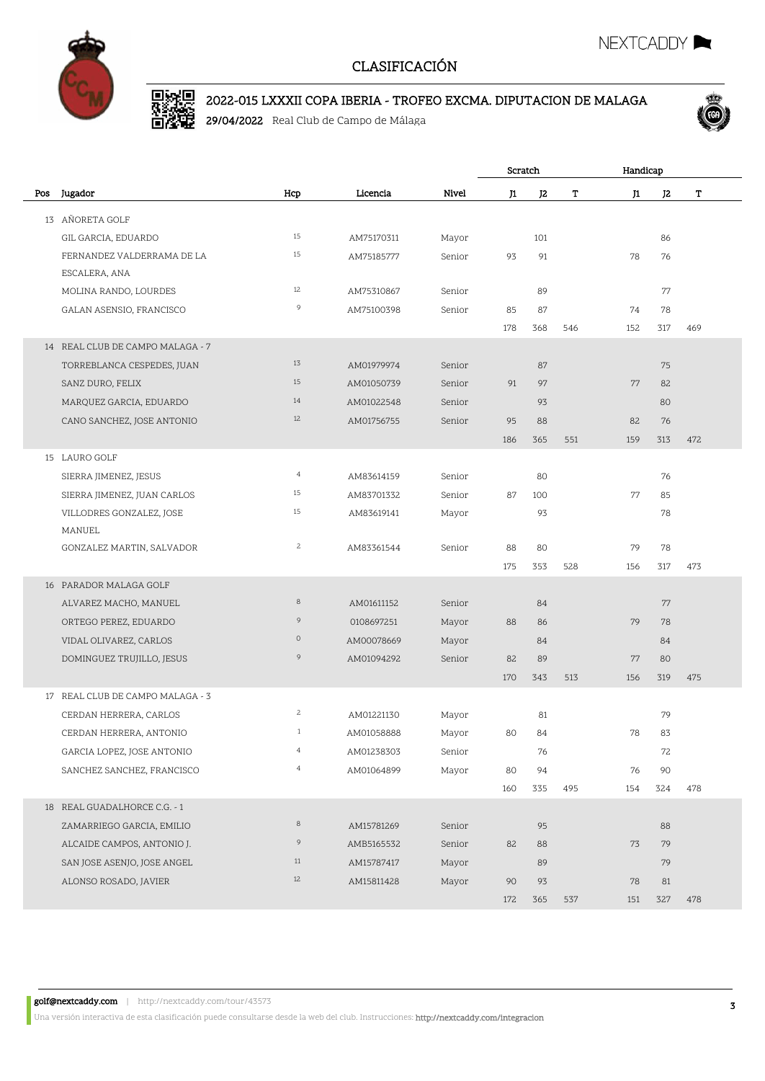

# D. 2002 2022-015 LXXXII COPA IBERIA - TROFEO EXCMA. DIPUTACION DE MALAGA

29/04/2022 Real Club de Campo de Málaga



NEXTCADDY

|     |                                  |                |            |        | Scratch |     | Handicap |     |     |     |  |
|-----|----------------------------------|----------------|------------|--------|---------|-----|----------|-----|-----|-----|--|
| Pos | Jugador                          | Hcp            | Licencia   | Nivel  | J1      | J2  | т        | J1  | J2  | т   |  |
|     | 13 AÑORETA GOLF                  |                |            |        |         |     |          |     |     |     |  |
|     | GIL GARCIA, EDUARDO              | 15             | AM75170311 | Mayor  |         | 101 |          |     | 86  |     |  |
|     | FERNANDEZ VALDERRAMA DE LA       | 15             | AM75185777 | Senior | 93      | 91  |          | 78  | 76  |     |  |
|     | ESCALERA, ANA                    |                |            |        |         |     |          |     |     |     |  |
|     | MOLINA RANDO, LOURDES            | 12             | AM75310867 | Senior |         | 89  |          |     | 77  |     |  |
|     | GALAN ASENSIO, FRANCISCO         | 9              | AM75100398 | Senior | 85      | 87  |          | 74  | 78  |     |  |
|     |                                  |                |            |        | 178     | 368 | 546      | 152 | 317 | 469 |  |
|     | 14 REAL CLUB DE CAMPO MALAGA - 7 |                |            |        |         |     |          |     |     |     |  |
|     | TORREBLANCA CESPEDES, JUAN       | 13             | AM01979974 | Senior |         | 87  |          |     | 75  |     |  |
|     | SANZ DURO, FELIX                 | 15             | AM01050739 | Senior | 91      | 97  |          | 77  | 82  |     |  |
|     | MARQUEZ GARCIA, EDUARDO          | 14             | AM01022548 | Senior |         | 93  |          |     | 80  |     |  |
|     | CANO SANCHEZ, JOSE ANTONIO       | 12             | AM01756755 | Senior | 95      | 88  |          | 82  | 76  |     |  |
|     |                                  |                |            |        | 186     | 365 | 551      | 159 | 313 | 472 |  |
|     | 15 LAURO GOLF                    |                |            |        |         |     |          |     |     |     |  |
|     | SIERRA JIMENEZ, JESUS            | $\overline{4}$ | AM83614159 | Senior |         | 80  |          |     | 76  |     |  |
|     | SIERRA JIMENEZ, JUAN CARLOS      | 15             | AM83701332 | Senior | 87      | 100 |          | 77  | 85  |     |  |
|     | VILLODRES GONZALEZ, JOSE         | 15             | AM83619141 | Mayor  |         | 93  |          |     | 78  |     |  |
|     | MANUEL                           |                |            |        |         |     |          |     |     |     |  |
|     | GONZALEZ MARTIN, SALVADOR        | $\overline{c}$ | AM83361544 | Senior | 88      | 80  |          | 79  | 78  |     |  |
|     |                                  |                |            |        | 175     | 353 | 528      | 156 | 317 | 473 |  |
|     | 16 PARADOR MALAGA GOLF           |                |            |        |         |     |          |     |     |     |  |
|     | ALVAREZ MACHO, MANUEL            | $\,8\,$        | AM01611152 | Senior |         | 84  |          |     | 77  |     |  |
|     | ORTEGO PEREZ, EDUARDO            | 9              | 0108697251 | Mayor  | 88      | 86  |          | 79  | 78  |     |  |
|     | VIDAL OLIVAREZ, CARLOS           | $\circ$        | AM00078669 | Mayor  |         | 84  |          |     | 84  |     |  |
|     | DOMINGUEZ TRUJILLO, JESUS        | 9              | AM01094292 | Senior | 82      | 89  |          | 77  | 80  |     |  |
|     |                                  |                |            |        | 170     | 343 | 513      | 156 | 319 | 475 |  |
|     | 17 REAL CLUB DE CAMPO MALAGA - 3 |                |            |        |         |     |          |     |     |     |  |
|     | CERDAN HERRERA, CARLOS           | $\overline{c}$ | AM01221130 | Mayor  |         | 81  |          |     | 79  |     |  |
|     | CERDAN HERRERA, ANTONIO          | $\mathbf{1}$   | AM01058888 | Mayor  | 80      | 84  |          | 78  | 83  |     |  |
|     | GARCIA LOPEZ, JOSE ANTONIO       | $\overline{4}$ | AM01238303 | Senior |         | 76  |          |     | 72  |     |  |
|     | SANCHEZ SANCHEZ, FRANCISCO       | $\overline{4}$ | AM01064899 | Mayor  | 80      | 94  |          | 76  | 90  |     |  |
|     |                                  |                |            |        | 160     | 335 | 495      | 154 | 324 | 478 |  |
|     | 18 REAL GUADALHORCE C.G. - 1     |                |            |        |         |     |          |     |     |     |  |
|     | ZAMARRIEGO GARCIA, EMILIO        | $\,8\,$        | AM15781269 | Senior |         | 95  |          |     | 88  |     |  |
|     | ALCAIDE CAMPOS, ANTONIO J.       | 9              | AMB5165532 | Senior | 82      | 88  |          | 73  | 79  |     |  |
|     | SAN JOSE ASENJO, JOSE ANGEL      | 11             | AM15787417 | Mayor  |         | 89  |          |     | 79  |     |  |
|     | ALONSO ROSADO, JAVIER            | 12             | AM15811428 | Mayor  | 90      | 93  |          | 78  | 81  |     |  |
|     |                                  |                |            |        | 172     | 365 | 537      | 151 | 327 | 478 |  |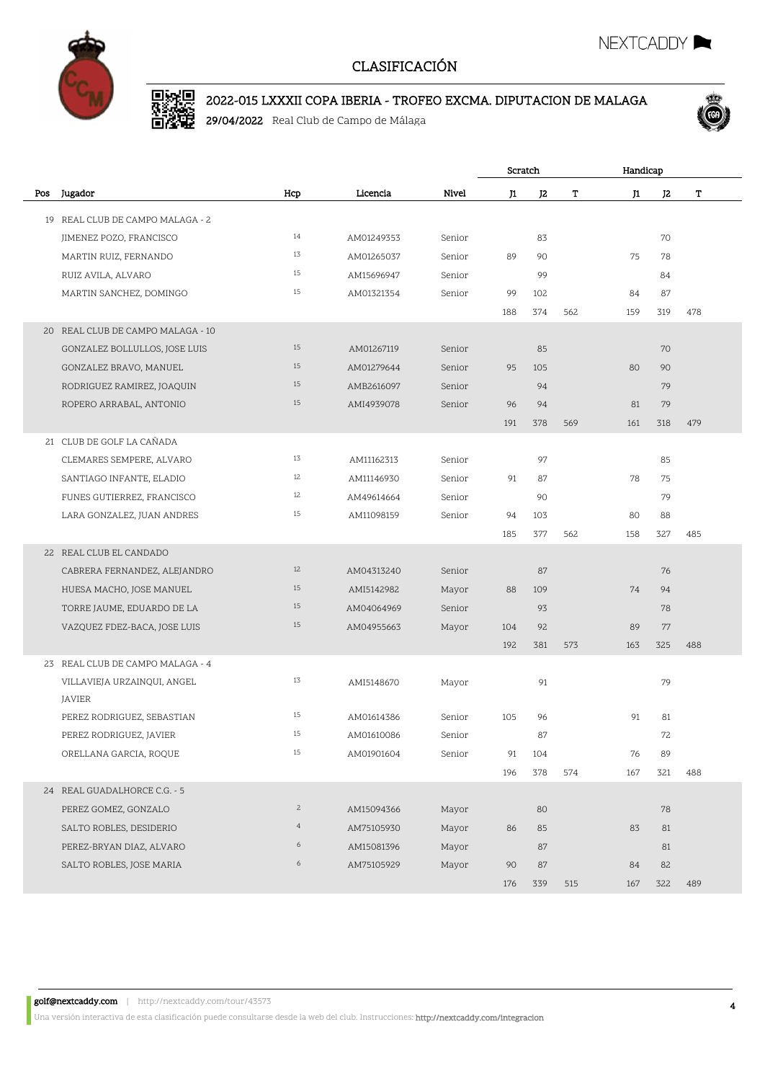

# D. 2002 2022-015 LXXXII COPA IBERIA - TROFEO EXCMA. DIPUTACION DE MALAGA

29/04/2022 Real Club de Campo de Málaga



NEXTCADDY I

|     |                                   |                |            |        | Scratch |     |     |     | Handicap |     |  |
|-----|-----------------------------------|----------------|------------|--------|---------|-----|-----|-----|----------|-----|--|
| Pos | Jugador                           | Hcp            | Licencia   | Nivel  | J1      | J2  | т   | J1  | J2       | т   |  |
|     | 19 REAL CLUB DE CAMPO MALAGA - 2  |                |            |        |         |     |     |     |          |     |  |
|     | JIMENEZ POZO, FRANCISCO           | 14             | AM01249353 | Senior |         | 83  |     |     | 70       |     |  |
|     | MARTIN RUIZ, FERNANDO             | 13             | AM01265037 | Senior | 89      | 90  |     | 75  | 78       |     |  |
|     | RUIZ AVILA, ALVARO                | 15             | AM15696947 | Senior |         | 99  |     |     | 84       |     |  |
|     | MARTIN SANCHEZ, DOMINGO           | 15             | AM01321354 | Senior | 99      | 102 |     | 84  | 87       |     |  |
|     |                                   |                |            |        | 188     | 374 | 562 | 159 | 319      | 478 |  |
|     | 20 REAL CLUB DE CAMPO MALAGA - 10 |                |            |        |         |     |     |     |          |     |  |
|     | GONZALEZ BOLLULLOS, JOSE LUIS     | 15             | AM01267119 | Senior |         | 85  |     |     | 70       |     |  |
|     | GONZALEZ BRAVO, MANUEL            | 15             | AM01279644 | Senior | 95      | 105 |     | 80  | 90       |     |  |
|     | RODRIGUEZ RAMIREZ, JOAQUIN        | 15             | AMB2616097 | Senior |         | 94  |     |     | 79       |     |  |
|     | ROPERO ARRABAL, ANTONIO           | 15             | AMI4939078 | Senior | 96      | 94  |     | 81  | 79       |     |  |
|     |                                   |                |            |        | 191     | 378 | 569 | 161 | 318      | 479 |  |
|     | 21 CLUB DE GOLF LA CAÑADA         |                |            |        |         |     |     |     |          |     |  |
|     | CLEMARES SEMPERE, ALVARO          | 13             | AM11162313 | Senior |         | 97  |     |     | 85       |     |  |
|     | SANTIAGO INFANTE, ELADIO          | 12             | AM11146930 | Senior | 91      | 87  |     | 78  | 75       |     |  |
|     | FUNES GUTIERREZ, FRANCISCO        | 12             | AM49614664 | Senior |         | 90  |     |     | 79       |     |  |
|     | LARA GONZALEZ, JUAN ANDRES        | 15             | AM11098159 | Senior | 94      | 103 |     | 80  | 88       |     |  |
|     |                                   |                |            |        | 185     | 377 | 562 | 158 | 327      | 485 |  |
|     | 22 REAL CLUB EL CANDADO           |                |            |        |         |     |     |     |          |     |  |
|     | CABRERA FERNANDEZ, ALEJANDRO      | 12             | AM04313240 | Senior |         | 87  |     |     | 76       |     |  |
|     | HUESA MACHO, JOSE MANUEL          | 15             | AMI5142982 | Mayor  | 88      | 109 |     | 74  | 94       |     |  |
|     | TORRE JAUME, EDUARDO DE LA        | 15             | AM04064969 | Senior |         | 93  |     |     | 78       |     |  |
|     | VAZQUEZ FDEZ-BACA, JOSE LUIS      | 15             | AM04955663 | Mayor  | 104     | 92  |     | 89  | 77       |     |  |
|     |                                   |                |            |        | 192     | 381 | 573 | 163 | 325      | 488 |  |
|     | 23 REAL CLUB DE CAMPO MALAGA - 4  |                |            |        |         |     |     |     |          |     |  |
|     | VILLAVIEJA URZAINQUI, ANGEL       | 13             | AMI5148670 | Mayor  |         | 91  |     |     | 79       |     |  |
|     | <b>JAVIER</b>                     |                |            |        |         |     |     |     |          |     |  |
|     | PEREZ RODRIGUEZ, SEBASTIAN        | 15             | AM01614386 | Senior | 105     | 96  |     | 91  | 81       |     |  |
|     | PEREZ RODRIGUEZ, JAVIER           | 15             | AM01610086 | Senior |         | 87  |     |     | 72       |     |  |
|     | ORELLANA GARCIA, ROQUE            | 15             | AM01901604 | Senior | 91      | 104 |     | 76  | 89       |     |  |
|     |                                   |                |            |        | 196     | 378 | 574 | 167 | 321      | 488 |  |
|     | 24 REAL GUADALHORCE C.G. - 5      |                |            |        |         |     |     |     |          |     |  |
|     | PEREZ GOMEZ, GONZALO              | $\mathbf{2}$   | AM15094366 | Mayor  |         | 80  |     |     | 78       |     |  |
|     | SALTO ROBLES, DESIDERIO           | $\overline{4}$ | AM75105930 | Mayor  | 86      | 85  |     | 83  | 81       |     |  |
|     | PEREZ-BRYAN DIAZ, ALVARO          | 6              | AM15081396 | Mayor  |         | 87  |     |     | 81       |     |  |
|     | SALTO ROBLES, JOSE MARIA          | 6              | AM75105929 | Mayor  | 90      | 87  |     | 84  | 82       |     |  |
|     |                                   |                |            |        | 176     | 339 | 515 | 167 | 322      | 489 |  |